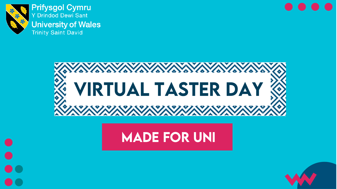

**Prifysgol Cymru** Y Drindod Dewi Sant **University of Wales Trinity Saint David** 



# **MADE FOR UNI**

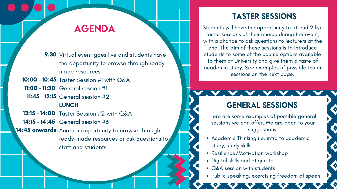ence/wonvalion worksho Resilience/Motivation workshop

Academic Thinking i.e. intro to academic study, study skills

Digital skills and etiquette

• Q&A session with students

Public speaking, exercising freedom of speeh

# AGENDA

- 9.30 Virtual event goes live and students have the opportunity to browse through readymade resources
- 10:00 10:45 Taster Session #1 with Q&A
- **11:00 11:30** General session #1
- 11:45 12:15 General session #2

### **LUNCH**

- **13:15 14:00 T**aster Session #2 with Q&A
- 14:15 14:45  $\vert$ General session #3
- 14:45 onwards Another opportunity to browse through ready-made resources or ask questions to staff and students

## GENERAL SESSiONS

# TASTER SESSiONS

Students will have the opportunity to attend 2 live taster sessions of their choice during the event, with a chance to ask questions to lecturers at the end. The aim of these sessions is to introduce students to some of the course options available to them at University and give them a taste of academic study. See examples of possible taster sessions on the next page.

Here are some examples of possible general sessions we can offer. We are open to your suggestions.